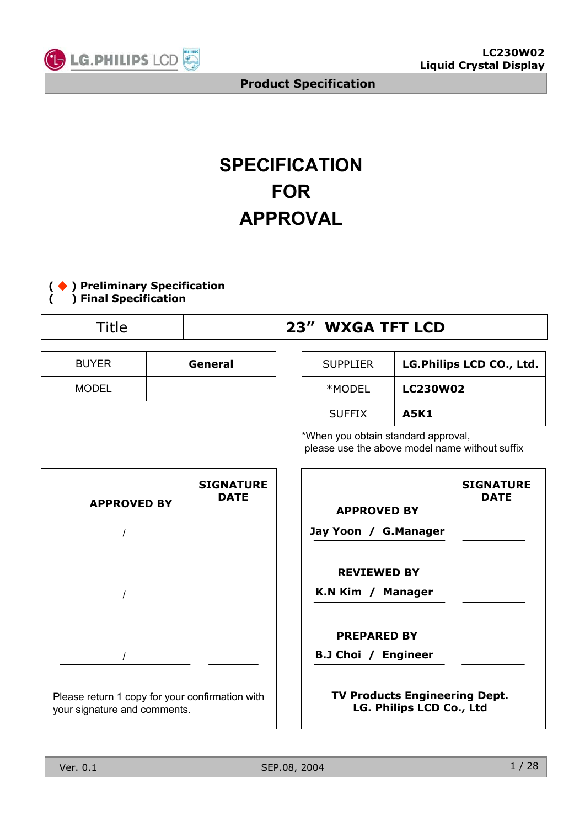

# **SPECIFICATION FOR APPROVAL**



# Title **23" WXGA TFT LCD**

| <b>BUYER</b> | General |
|--------------|---------|
| <b>MODEL</b> |         |

| <b>SUPPLIER</b> | LG.Philips LCD CO., Ltd. |
|-----------------|--------------------------|
| *MODEL          | <b>LC230W02</b>          |
| <b>SUFFIX</b>   | A5K1                     |

\*When you obtain standard approval, please use the above model name without suffix



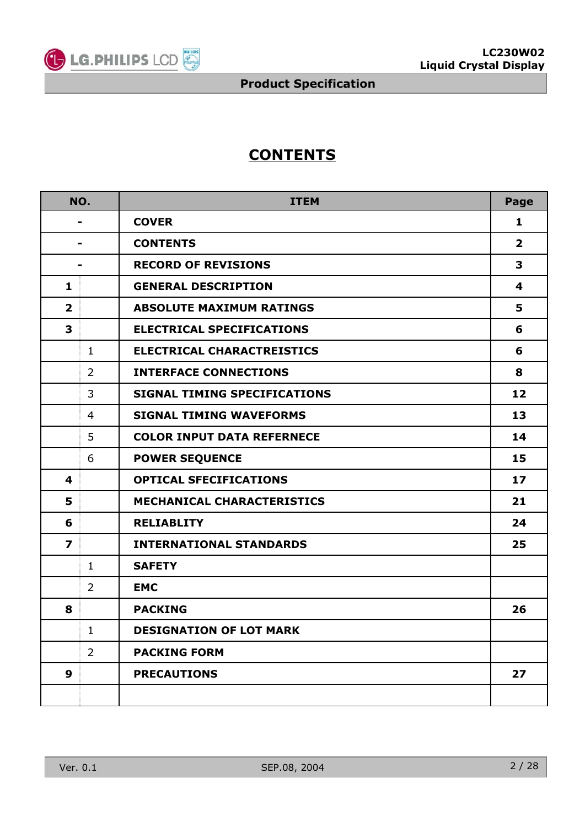

# **CONTENTS**

|                         | NO.            | <b>ITEM</b>                         | Page            |
|-------------------------|----------------|-------------------------------------|-----------------|
|                         |                | <b>COVER</b>                        | 1               |
|                         |                | <b>CONTENTS</b>                     | $\mathbf{2}$    |
|                         | $\blacksquare$ | <b>RECORD OF REVISIONS</b>          | 3               |
| 1                       |                | <b>GENERAL DESCRIPTION</b>          | 4               |
| $\overline{2}$          |                | <b>ABSOLUTE MAXIMUM RATINGS</b>     | 5               |
| 3                       |                | <b>ELECTRICAL SPECIFICATIONS</b>    | 6               |
|                         | $\mathbf{1}$   | <b>ELECTRICAL CHARACTREISTICS</b>   | 6               |
|                         | $\overline{2}$ | <b>INTERFACE CONNECTIONS</b>        | 8               |
|                         | 3              | <b>SIGNAL TIMING SPECIFICATIONS</b> | 12              |
|                         | $\overline{4}$ | <b>SIGNAL TIMING WAVEFORMS</b>      | 13              |
|                         | 5              | <b>COLOR INPUT DATA REFERNECE</b>   | 14              |
|                         | 6              | <b>POWER SEQUENCE</b>               | 15              |
| $\overline{\mathbf{4}}$ |                | <b>OPTICAL SFECIFICATIONS</b>       | 17 <sub>2</sub> |
| 5                       |                | <b>MECHANICAL CHARACTERISTICS</b>   | 21              |
| 6                       |                | <b>RELIABLITY</b>                   | 24              |
| 7                       |                | <b>INTERNATIONAL STANDARDS</b>      | 25              |
|                         | $\mathbf{1}$   | <b>SAFETY</b>                       |                 |
|                         | $\overline{2}$ | <b>EMC</b>                          |                 |
| 8                       |                | <b>PACKING</b>                      | 26              |
|                         | $\mathbf{1}$   | <b>DESIGNATION OF LOT MARK</b>      |                 |
|                         | $\overline{2}$ | <b>PACKING FORM</b>                 |                 |
| 9                       |                | <b>PRECAUTIONS</b>                  | 27              |
|                         |                |                                     |                 |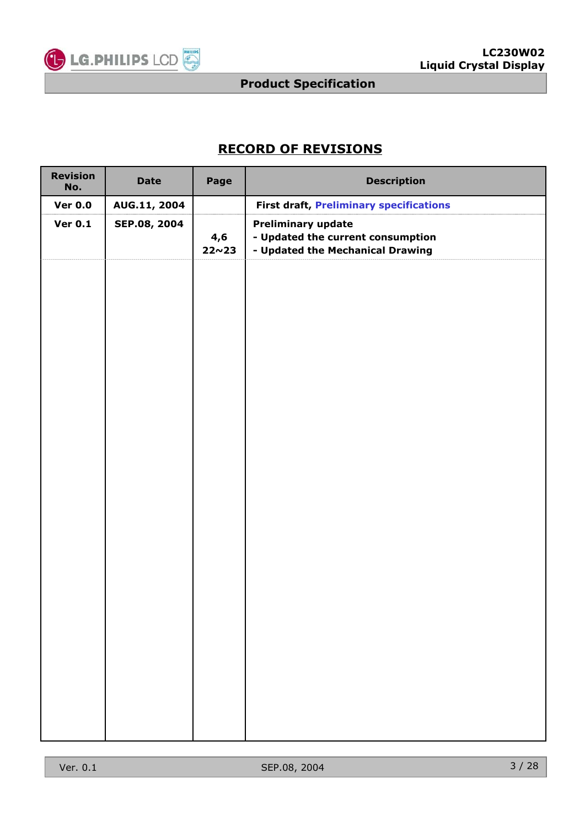

## **RECORD OF REVISIONS**

| <b>Revision</b><br>No. | <b>Date</b>  | Page                | <b>Description</b>                                                                                 |
|------------------------|--------------|---------------------|----------------------------------------------------------------------------------------------------|
| <b>Ver 0.0</b>         | AUG.11, 2004 |                     | <b>First draft, Preliminary specifications</b>                                                     |
| <b>Ver 0.1</b>         | SEP.08, 2004 | 4,6<br>$22 \sim 23$ | <b>Preliminary update</b><br>- Updated the current consumption<br>- Updated the Mechanical Drawing |
|                        |              |                     |                                                                                                    |
|                        |              |                     |                                                                                                    |
|                        |              |                     |                                                                                                    |
|                        |              |                     |                                                                                                    |
|                        |              |                     |                                                                                                    |
|                        |              |                     |                                                                                                    |
|                        |              |                     |                                                                                                    |
|                        |              |                     |                                                                                                    |
|                        |              |                     |                                                                                                    |
|                        |              |                     |                                                                                                    |
|                        |              |                     |                                                                                                    |
|                        |              |                     |                                                                                                    |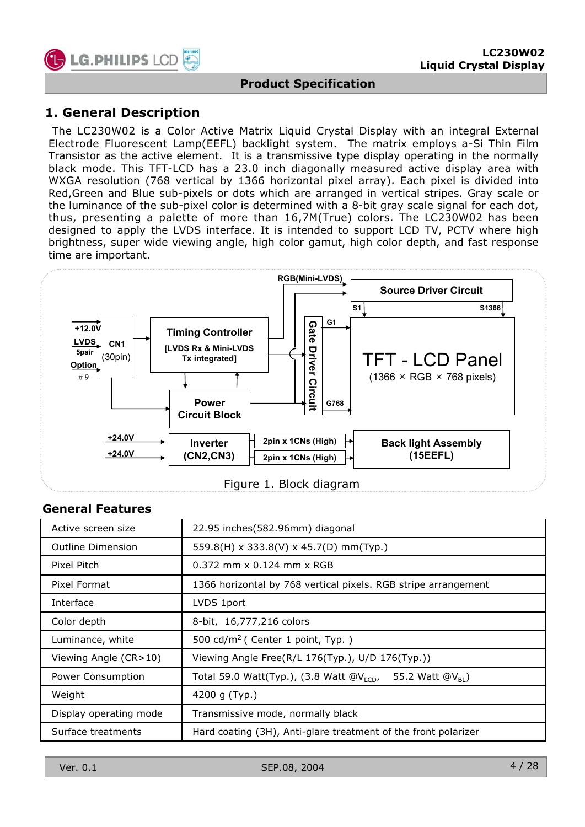

### **1. General Description**

The LC230W02 is a Color Active Matrix Liquid Crystal Display with an integral External Electrode Fluorescent Lamp(EEFL) backlight system. The matrix employs a-Si Thin Film Transistor as the active element. It is a transmissive type display operating in the normally black mode. This TFT-LCD has a 23.0 inch diagonally measured active display area with WXGA resolution (768 vertical by 1366 horizontal pixel array). Each pixel is divided into Red,Green and Blue sub-pixels or dots which are arranged in vertical stripes. Gray scale or the luminance of the sub-pixel color is determined with a 8-bit gray scale signal for each dot, thus, presenting a palette of more than 16,7M(True) colors. The LC230W02 has been designed to apply the LVDS interface. It is intended to support LCD TV, PCTV where high brightness, super wide viewing angle, high color gamut, high color depth, and fast response time are important.



|  |  |  | Figure 1. Block diagram |
|--|--|--|-------------------------|
|--|--|--|-------------------------|

#### **General Features**

| Active screen size     | 22.95 inches(582.96mm) diagonal                                        |
|------------------------|------------------------------------------------------------------------|
| Outline Dimension      | 559.8(H) x 333.8(V) x 45.7(D) mm(Typ.)                                 |
| Pixel Pitch            | $0.372$ mm x $0.124$ mm x RGB                                          |
| Pixel Format           | 1366 horizontal by 768 vertical pixels. RGB stripe arrangement         |
| Interface              | LVDS 1port                                                             |
| Color depth            | 8-bit, 16,777,216 colors                                               |
| Luminance, white       | 500 cd/m <sup>2</sup> ( Center 1 point, Typ. )                         |
| Viewing Angle (CR>10)  | Viewing Angle Free(R/L 176(Typ.), U/D 176(Typ.))                       |
| Power Consumption      | Total 59.0 Watt(Typ.), (3.8 Watt $@V_{LCD}$ ,<br>55.2 Watt $@V_{BI}$ ) |
| Weight                 | 4200 g $(Typ.)$                                                        |
| Display operating mode | Transmissive mode, normally black                                      |
| Surface treatments     | Hard coating (3H), Anti-glare treatment of the front polarizer         |

Ver. 0.1 SEP.08, 2004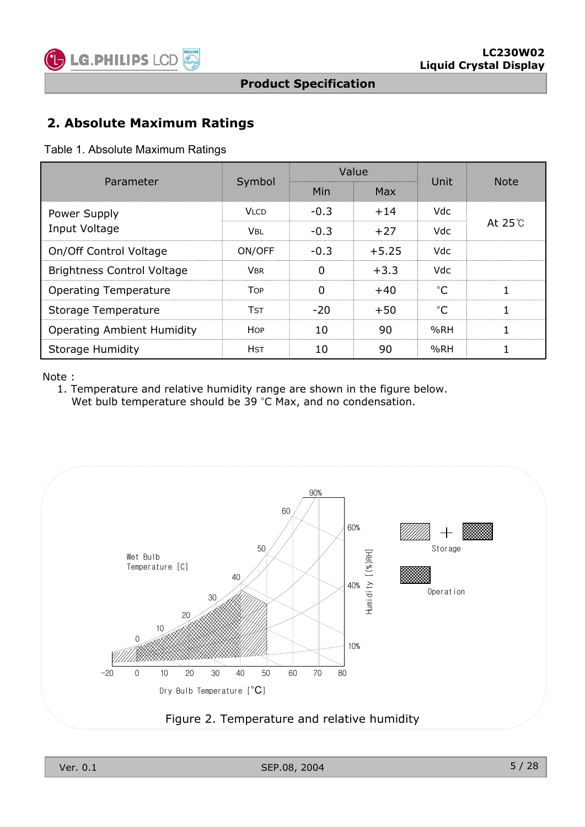

### **2. Absolute Maximum Ratings**

Table 1. Absolute Maximum Ratings

| Parameter                         | Symbol      |        | Value   | Unit        | <b>Note</b>   |  |
|-----------------------------------|-------------|--------|---------|-------------|---------------|--|
|                                   |             | Min    | Max     |             |               |  |
| Power Supply                      | Vi cd       | $-0.3$ | $+14$   | Vdc.        |               |  |
| Input Voltage                     | VBL         | -03    | $+27$   | Vdc.        | At $25^\circ$ |  |
| On/Off Control Voltage            | ON/OFF      | $-0.3$ | $+5.25$ | Vdc.        |               |  |
| <b>Brightness Control Voltage</b> | VBR         | n      | $+3.3$  | Vdc.        |               |  |
| <b>Operating Temperature</b>      | Top         |        | $+40$   | $^{\circ}C$ |               |  |
| Storage Temperature               | Tst         | $-20$  | $+50$   | $^{\circ}C$ |               |  |
| <b>Operating Ambient Humidity</b> | HOP         | 10     | 90      | %RH         |               |  |
| <b>Storage Humidity</b>           | <b>H</b> ST | 10     | 90      | %RH         |               |  |

Note :

1. Temperature and relative humidity range are shown in the figure below. Wet bulb temperature should be  $39 °C$  Max, and no condensation.

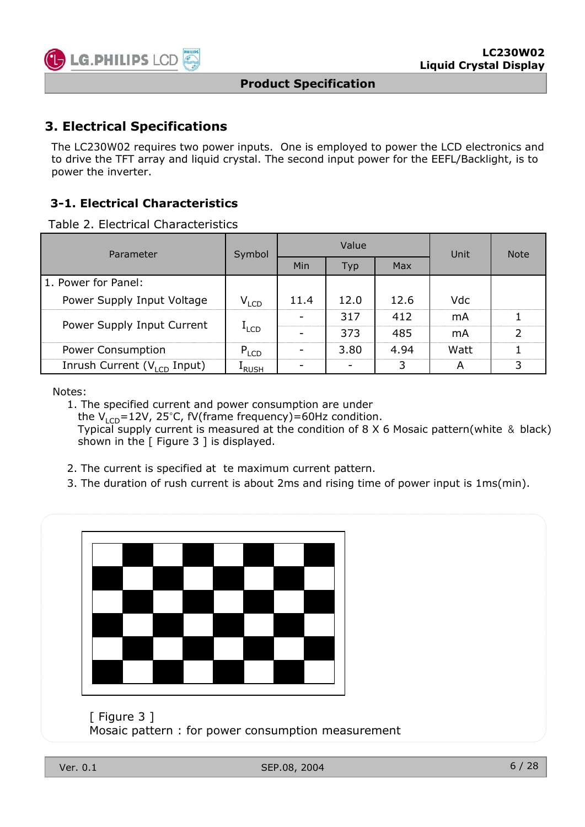

### **3. Electrical Specifications**

The LC230W02 requires two power inputs. One is employed to power the LCD electronics and to drive the TFT array and liquid crystal. The second input power for the EEFL/Backlight, is to power the inverter.

### **3-1. Electrical Characteristics**

Table 2. Electrical Characteristics

| Parameter                               | Symbol           |                          | Value |      | Unit | <b>Note</b>    |
|-----------------------------------------|------------------|--------------------------|-------|------|------|----------------|
|                                         |                  | Min                      | Typ   | Max  |      |                |
| l 1. Power for Panel:                   |                  |                          |       |      |      |                |
| Power Supply Input Voltage              | $V_{LCD}$        | 11.4                     | 12.0  | 12.6 | Vdc  |                |
| Power Supply Input Current              |                  |                          | 317   | 412  | mA   |                |
|                                         | <sup>L</sup> LCD |                          | 373   | 485  | mA   | $\overline{2}$ |
| Power Consumption                       | $P_{LCD}$        | $\overline{\phantom{0}}$ | 3.80  | 4.94 | Watt |                |
| Inrush Current $(V_{\text{LCD}}$ Input) | <b>FRUSH</b>     |                          |       | 3    | A    | 3              |

Notes:

1. The specified current and power consumption are under the  $V_{\text{LCD}}$ =12V, 25°C, fV(frame frequency)=60Hz condition. Typical supply current is measured at the condition of 8  $\times$  6 Mosaic pattern(white & black) shown in the  $\lceil$  Figure 3  $\rceil$  is displayed.

- 2. The current is specified at te maximum current pattern.
- 3. The duration of rush current is about 2ms and rising time of power input is 1ms(min).



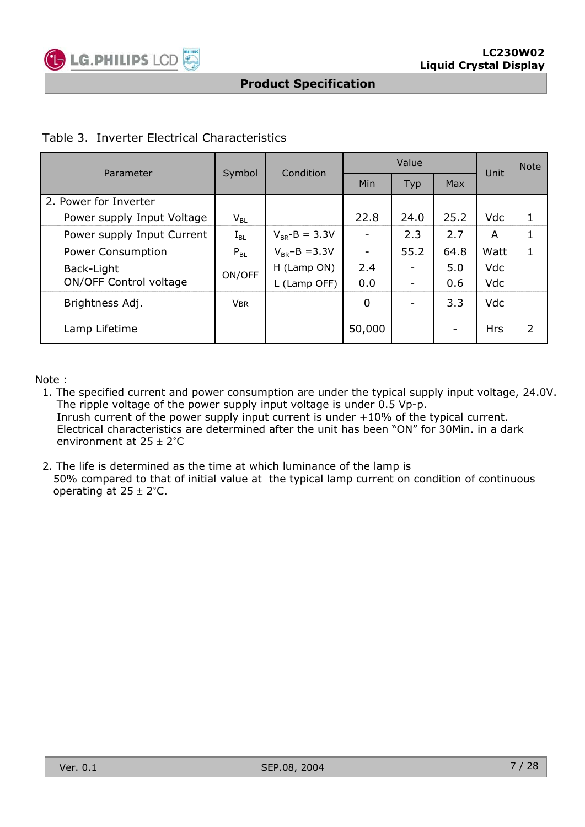

#### Table 3. Inverter Electrical Characteristics

| Parameter                  |                            | Condition<br>Symbol |        | Value      |            |            | <b>Note</b>   |
|----------------------------|----------------------------|---------------------|--------|------------|------------|------------|---------------|
|                            |                            |                     | Min    | <b>Typ</b> | <b>Max</b> | Unit       |               |
| 2. Power for Inverter      |                            |                     |        |            |            |            |               |
| Power supply Input Voltage | $\mathsf{V}_{\mathsf{BL}}$ |                     | 22.8   | 24.0       | 25.2       | Vdc        |               |
| Power supply Input Current | $I_{BL}$                   | $V_{BR} - B = 3.3V$ |        | 2.3        | 2.7        | A          |               |
| Power Consumption          | $P_{BL}$                   | $V_{BR} - B = 3.3V$ |        | 55.2       | 64.8       | Watt       |               |
| Back-Light                 | ON/OFF                     | H (Lamp ON)         | 2.4    |            | 5.0        | Vdc        |               |
| ON/OFF Control voltage     |                            | L (Lamp OFF)        | 0.0    |            | 0.6        | Vdc        |               |
| Brightness Adj.            | <b>VBR</b>                 |                     | 0      |            | 3.3        | Vdc        |               |
| Lamp Lifetime              |                            |                     | 50,000 |            | ۰          | <b>Hrs</b> | $\mathcal{P}$ |

Note :

- 1. The specified current and power consumption are under the typical supply input voltage, 24.0V. The ripple voltage of the power supply input voltage is under 0.5 Vp-p. Inrush current of the power supply input current is under +10% of the typical current. Electrical characteristics are determined after the unit has been "ON" for 30Min. in a dark environment at  $25 \pm 2^{\circ}C$
- 2. The life is determined as the time at which luminance of the lamp is 50% compared to that of initial value at the typical lamp current on condition of continuous operating at  $25 \pm 2^{\circ}$ C.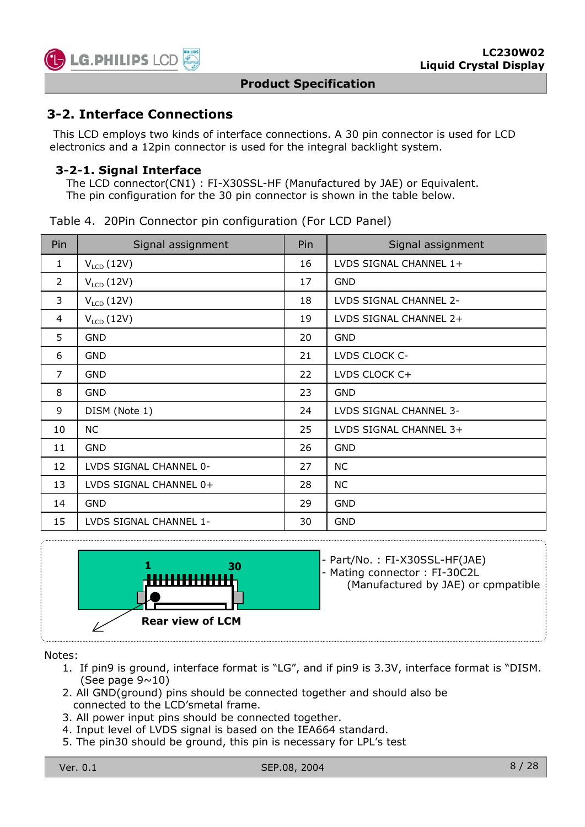

### **3-2. Interface Connections**

This LCD employs two kinds of interface connections. A 30 pin connector is used for LCD electronics and a 12pin connector is used for the integral backlight system.

#### **3-2-1. Signal Interface**

The LCD connector(CN1) : FI-X30SSL-HF (Manufactured by JAE) or Equivalent. The pin configuration for the 30 pin connector is shown in the table below.

| Pin | Signal assignment     | Pin | Signal assignment      |  |  |
|-----|-----------------------|-----|------------------------|--|--|
|     | $V_{LCD}$ (12V)       | 16  | LVDS SIGNAL CHANNEL 1+ |  |  |
|     | $V_{LCD}$ (12V)       | 17  | GND                    |  |  |
| 3   | $V_{\text{LCD}}(12V)$ | 18  | LVDS SIGNAL CHANNEL 2- |  |  |
| 4   | $V_{\text{LCD}}(12V)$ | 19  | LVDS SIGNAL CHANNEL 2+ |  |  |
|     |                       |     |                        |  |  |

Table 4. 20Pin Connector pin configuration (For LCD Panel)

| $\overline{2}$<br>17<br><b>GND</b><br>$V_{LCD}$ (12V)<br>3<br>$V_{LCD}$ (12V)<br>LVDS SIGNAL CHANNEL 2-<br>18<br>$V_{LCD}$ (12V)<br>19<br>LVDS SIGNAL CHANNEL 2+<br>4<br>5<br><b>GND</b><br><b>GND</b><br>20<br><b>GND</b><br>21<br>LVDS CLOCK C-<br>6<br>$\overline{7}$<br><b>GND</b><br>LVDS CLOCK C+<br>22<br>8<br><b>GND</b><br>23<br><b>GND</b><br>9<br>DISM (Note 1)<br>LVDS SIGNAL CHANNEL 3-<br>24<br>NC.<br>25<br>10<br>LVDS SIGNAL CHANNEL 3+<br>11<br><b>GND</b><br><b>GND</b><br>26<br>12<br>LVDS SIGNAL CHANNEL 0-<br>27<br>NС<br>13<br>LVDS SIGNAL CHANNEL 0+<br>28<br>NС<br><b>GND</b><br>29<br><b>GND</b><br>14<br>15<br>LVDS SIGNAL CHANNEL 1-<br><b>GND</b><br>30 | . LUD ( – – – ) |  |
|-------------------------------------------------------------------------------------------------------------------------------------------------------------------------------------------------------------------------------------------------------------------------------------------------------------------------------------------------------------------------------------------------------------------------------------------------------------------------------------------------------------------------------------------------------------------------------------------------------------------------------------------------------------------------------------|-----------------|--|
|                                                                                                                                                                                                                                                                                                                                                                                                                                                                                                                                                                                                                                                                                     |                 |  |
|                                                                                                                                                                                                                                                                                                                                                                                                                                                                                                                                                                                                                                                                                     |                 |  |
|                                                                                                                                                                                                                                                                                                                                                                                                                                                                                                                                                                                                                                                                                     |                 |  |
|                                                                                                                                                                                                                                                                                                                                                                                                                                                                                                                                                                                                                                                                                     |                 |  |
|                                                                                                                                                                                                                                                                                                                                                                                                                                                                                                                                                                                                                                                                                     |                 |  |
|                                                                                                                                                                                                                                                                                                                                                                                                                                                                                                                                                                                                                                                                                     |                 |  |
|                                                                                                                                                                                                                                                                                                                                                                                                                                                                                                                                                                                                                                                                                     |                 |  |
|                                                                                                                                                                                                                                                                                                                                                                                                                                                                                                                                                                                                                                                                                     |                 |  |
|                                                                                                                                                                                                                                                                                                                                                                                                                                                                                                                                                                                                                                                                                     |                 |  |
|                                                                                                                                                                                                                                                                                                                                                                                                                                                                                                                                                                                                                                                                                     |                 |  |
|                                                                                                                                                                                                                                                                                                                                                                                                                                                                                                                                                                                                                                                                                     |                 |  |
|                                                                                                                                                                                                                                                                                                                                                                                                                                                                                                                                                                                                                                                                                     |                 |  |
|                                                                                                                                                                                                                                                                                                                                                                                                                                                                                                                                                                                                                                                                                     |                 |  |
|                                                                                                                                                                                                                                                                                                                                                                                                                                                                                                                                                                                                                                                                                     |                 |  |



**<sup>1</sup> <sup>30</sup>** - Part/No. : FI-X30SSL-HF(JAE) - Mating connector : FI-30C2L

(Manufactured by JAE) or cpmpatible

Notes:

- 1. If pin9 is ground, interface format is "LG", and if pin9 is 3.3V, interface format is "DISM. (See page  $9 \sim 10$ )
- 2. All GND(ground) pins should be connected together and should also be connected to the LCD'smetal frame.
- 3. All power input pins should be connected together.
- 4. Input level of LVDS signal is based on the IEA664 standard.
- 5. The pin30 should be ground, this pin is necessary for LPL's test

Ver. 0.1 SEP.08, 2004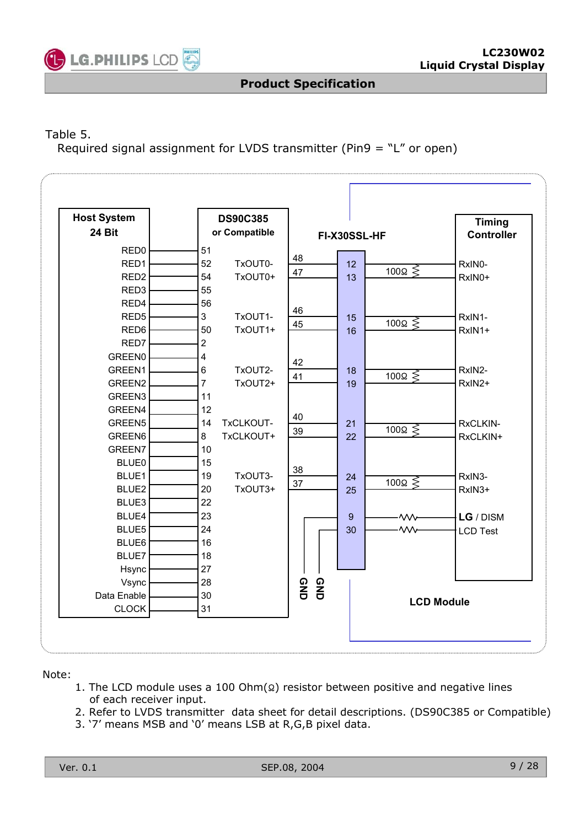

### Table 5.

Required signal assignment for LVDS transmitter (Pin9 = "L" or open)

| <b>Host System</b><br>24 Bit | <b>DS90C385</b><br>or Compatible | FI-X30SSL-HF                      | <b>Timing</b><br><b>Controller</b> |
|------------------------------|----------------------------------|-----------------------------------|------------------------------------|
| RED <sub>0</sub>             | 51                               | 48                                |                                    |
| RED1                         | 52<br>TxOUT0-                    | 12<br>100 $\Omega \lessgtr$<br>47 | RxIN0-                             |
| RED <sub>2</sub>             | 54<br>TxOUT0+                    | 13                                | RxIN0+                             |
| RED <sub>3</sub>             | 55                               |                                   |                                    |
| RED4                         | 56                               | 46                                |                                    |
| RED <sub>5</sub>             | TxOUT1-<br>3                     | 15<br>$100\Omega \leq$            | RxIN1-                             |
| RED <sub>6</sub>             | TxOUT1+<br>50                    | 45<br>16                          | RxIN1+                             |
| RED7                         | $\overline{2}$                   |                                   |                                    |
| <b>GREEN0</b>                | 4                                | 42                                |                                    |
| GREEN1                       | TxOUT2-<br>6                     | 18<br>$100\Omega \leq$            | RxIN2-                             |
| GREEN2                       | TxOUT2+<br>7                     | 41<br>19                          | RxIN2+                             |
| GREEN3                       | 11                               |                                   |                                    |
| GREEN4                       | 12                               |                                   |                                    |
| GREEN5                       | TxCLKOUT-<br>14                  | 40<br>21                          | RxCLKIN-                           |
| GREEN6                       | 8<br>TxCLKOUT+                   | $100\Omega \leq$<br>39<br>22      | RxCLKIN+                           |
| GREEN7                       | 10                               |                                   |                                    |
| <b>BLUE0</b>                 | 15                               |                                   |                                    |
| BLUE1                        | TxOUT3-<br>19                    | 38<br>24                          | RxIN3-                             |
| BLUE2                        | TxOUT3+<br>20                    | $100\Omega \leq$<br>37<br>25      | RxIN3+                             |
| BLUE3                        | 22                               |                                   |                                    |
| BLUE4                        | 23                               | 9<br>·wv                          | LG / DISM                          |
| BLUE5                        | 24                               | ·wv<br>30                         | <b>LCD Test</b>                    |
| BLUE6                        | 16                               |                                   |                                    |
| BLUE7                        | 18                               |                                   |                                    |
| Hsync                        | 27                               |                                   |                                    |
| Vsync                        | 28                               |                                   |                                    |
| Data Enable                  | 30                               | <b>QND</b><br>GND                 |                                    |
| <b>CLOCK</b>                 | 31                               |                                   | <b>LCD Module</b>                  |

#### Note:

- 1. The LCD module uses a 100 Ohm $(Q)$  resistor between positive and negative lines of each receiver input.
- 2. Refer to LVDS transmitter data sheet for detail descriptions. (DS90C385 or Compatible)
- 3. '7' means MSB and '0' means LSB at R,G,B pixel data.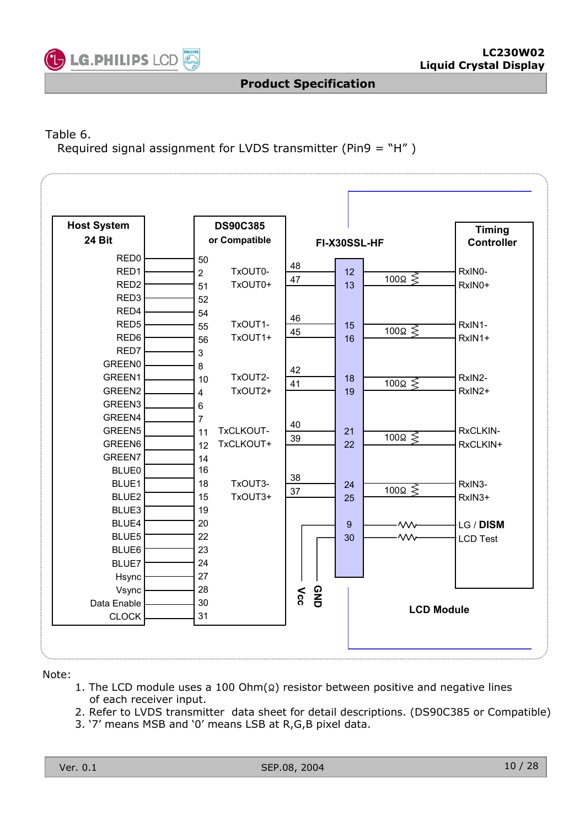

#### Table 6.

Required signal assignment for LVDS transmitter (Pin9 = "H" )

| <b>Host System</b> | <b>DS90C385</b>           |                   |                                    | <b>Timing</b>     |
|--------------------|---------------------------|-------------------|------------------------------------|-------------------|
| <b>24 Bit</b>      | or Compatible             |                   | FI-X30SSL-HF                       | <b>Controller</b> |
| RED <sub>0</sub>   | 50                        |                   |                                    |                   |
| RED1               | TxOUT0-<br>$\overline{2}$ | 48                | 12                                 | RxIN0-            |
| RED <sub>2</sub>   | TxOUT0+<br>51             | 47                | $\overline{100}$ $\leqslant$<br>13 | RxIN0+            |
| RED3               | 52                        |                   |                                    |                   |
| RED4               | 54                        |                   |                                    |                   |
| RED <sub>5</sub>   | TxOUT1-<br>55             | 46                | 15                                 | RxIN1-            |
| RED6               | TxOUT1+<br>56             | 45                | 100 $\Omega \leqslant$<br>16       | RxIN1+            |
| RED7               | 3                         |                   |                                    |                   |
| <b>GREEN0</b>      | 8                         |                   |                                    |                   |
| GREEN1             | TxOUT2-<br>10             | 42                | 18<br>$100\Omega \leq$             | RxIN2-            |
| GREEN2             | TxOUT2+<br>$\overline{4}$ | 41                | 19                                 | RxIN2+            |
| GREEN3             | 6                         |                   |                                    |                   |
| GREEN4             | $\overline{7}$            |                   |                                    |                   |
| GREEN5             | TxCLKOUT-<br>11           | 40                | 21                                 | RxCLKIN-          |
| GREEN6             | TxCLKOUT+<br>12           | 39                | $100\Omega \leq$<br>22             | RxCLKIN+          |
| GREEN7             | 14                        |                   |                                    |                   |
| <b>BLUE0</b>       | 16                        |                   |                                    |                   |
| BLUE1              | TxOUT3-<br>18             | 38                | 24<br>$100\Omega \leq$             | RxIN3-            |
| BLUE2              | TxOUT3+<br>15             | 37                | 25                                 | RxIN3+            |
| BLUE3              | 19                        |                   |                                    |                   |
| BLUE4              | 20                        |                   | $\overline{9}$<br>.wv              | LG / DISM         |
| BLUE5              | 22                        |                   | 30<br>$\mathsf{w}$                 | <b>LCD Test</b>   |
| BLUE6              | 23                        |                   |                                    |                   |
| BLUE7              | 24                        |                   |                                    |                   |
| Hsync              | 27                        |                   |                                    |                   |
| Vsync              | 28                        |                   |                                    |                   |
| Data Enable        | 30                        | <b>GND</b><br>Vcc |                                    | <b>LCD Module</b> |
| <b>CLOCK</b>       | 31                        |                   |                                    |                   |

#### Note:

- 1. The LCD module uses a 100 Ohm $(Q)$  resistor between positive and negative lines of each receiver input.
- 2. Refer to LVDS transmitter data sheet for detail descriptions. (DS90C385 or Compatible)
- 3. '7' means MSB and '0' means LSB at R,G,B pixel data.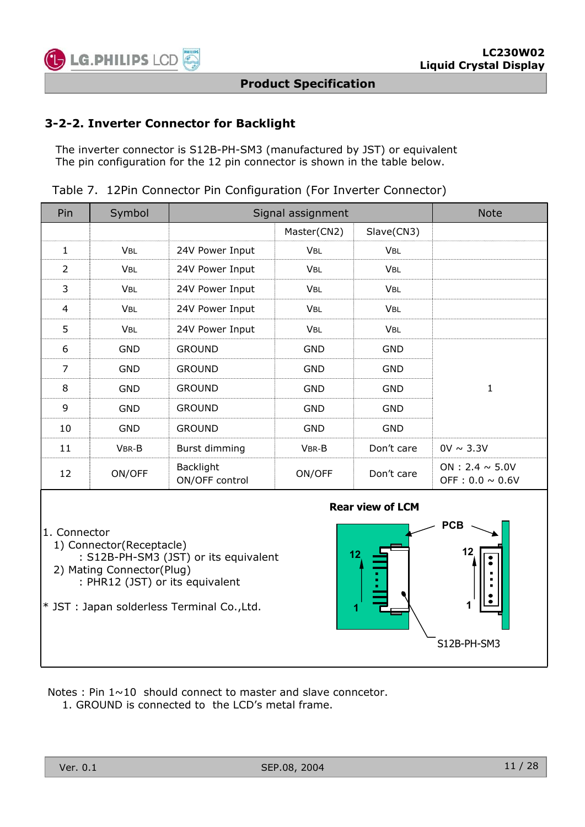

#### **3-2-2. Inverter Connector for Backlight**

The inverter connector is S12B-PH-SM3 (manufactured by JST) or equivalent The pin configuration for the 12 pin connector is shown in the table below.

|  |  | Table 7. 12Pin Connector Pin Configuration (For Inverter Connector) |  |  |
|--|--|---------------------------------------------------------------------|--|--|
|  |  |                                                                     |  |  |

| Pin               | Symbol     |                             | Signal assignment     |            |                                              |  |  |  |  |  |
|-------------------|------------|-----------------------------|-----------------------|------------|----------------------------------------------|--|--|--|--|--|
|                   |            |                             | Master(CN2)           | Slave(CN3) |                                              |  |  |  |  |  |
|                   | <b>VBL</b> | 24V Power Input             | <b>VBL</b>            | <b>VBL</b> |                                              |  |  |  |  |  |
| $\mathcal{P}$     | <b>VBL</b> | 24V Power Input             | <b>VBL</b>            | <b>VBL</b> |                                              |  |  |  |  |  |
| 3                 | <b>VBL</b> | 24V Power Input             | <b>V<sub>BL</sub></b> | <b>VBL</b> |                                              |  |  |  |  |  |
| 4                 | <b>VBL</b> | 24V Power Input             | <b>VBL</b>            | <b>VBL</b> |                                              |  |  |  |  |  |
| 5                 | <b>VBL</b> | 24V Power Input             | <b>V<sub>BL</sub></b> | <b>VBL</b> |                                              |  |  |  |  |  |
| 6                 | <b>GND</b> | <b>GROUND</b>               | GND                   | GND        |                                              |  |  |  |  |  |
| 7                 | GND        | <b>GROUND</b>               | GND                   | GND        |                                              |  |  |  |  |  |
| 8                 | <b>GND</b> | <b>GROUND</b>               | <b>GND</b>            | <b>GND</b> |                                              |  |  |  |  |  |
| 9                 | <b>GND</b> | <b>GROUND</b>               | GND<br>GND            |            |                                              |  |  |  |  |  |
| 10                | <b>GND</b> | <b>GROUND</b>               | GND                   | GND        |                                              |  |  |  |  |  |
| 11                | VBR-B      | Burst dimming               | VBR-B                 | Don't care | $0V \sim 3.3V$                               |  |  |  |  |  |
| $12 \overline{ }$ | ON/OFF     | Backlight<br>ON/OFF control | ON/OFF                | Don't care | ON : 2.4 $\sim$ 5.0V<br>OFF: $0.0 \sim 0.6V$ |  |  |  |  |  |

1. Connector

- 1) Connector(Receptacle)
- : S12B-PH-SM3 (JST) or its equivalent 2) Mating Connector(Plug)
	- : PHR12 (JST) or its equivalent
- \* JST : Japan solderless Terminal Co.,Ltd.



Notes : Pin  $1 \sim 10$  should connect to master and slave conncetor.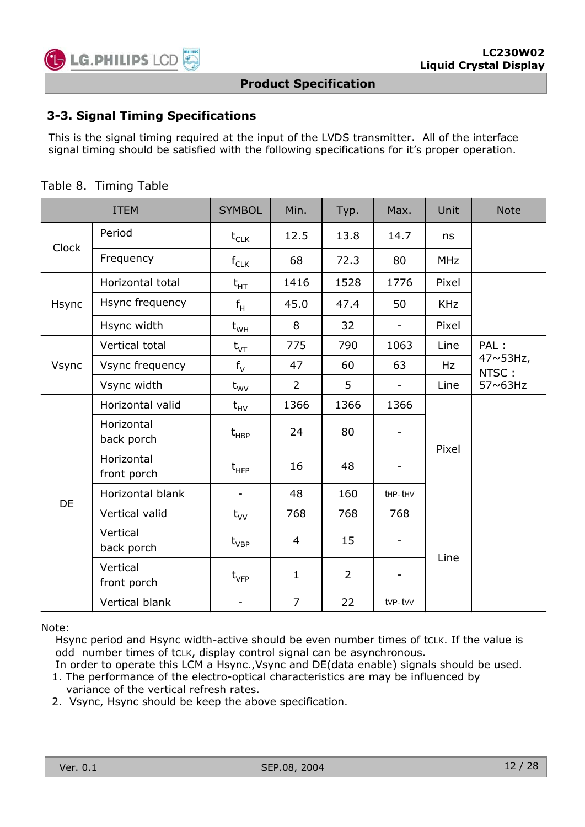

#### **3-3. Signal Timing Specifications**

This is the signal timing required at the input of the LVDS transmitter. All of the interface signal timing should be satisfied with the following specifications for it's proper operation.

|                           | <b>ITEM</b>               | <b>SYMBOL</b>                                 | Min.           | Typ.           | Max.                     | Unit       | <b>Note</b>                 |
|---------------------------|---------------------------|-----------------------------------------------|----------------|----------------|--------------------------|------------|-----------------------------|
|                           | Period                    | $t_{CLK}$                                     | 12.5           | 13.8           | 14.7                     | ns         |                             |
| <b>Clock</b><br>Frequency |                           | $f_{CLK}$                                     | 68             | 72.3           | 80                       | <b>MHz</b> |                             |
|                           | Horizontal total          | $\mathsf{t}_{\mathsf{HT}}$                    | 1416           | 1528           | 1776                     | Pixel      |                             |
| Hsync                     | Hsync frequency           | $f_H$                                         | 45.0           | 47.4           | 50                       | <b>KHz</b> |                             |
|                           | Hsync width               | $t_{WH}$                                      | 8              | 32             | $\overline{\phantom{0}}$ | Pixel      |                             |
|                           | Vertical total            | $t_{\text{VT}}$                               | 775            | 790            | 1063                     | Line       | PAL :                       |
| Vsync                     | Vsync frequency           | $f_V$                                         | 47             | 60             | 63                       | Hz         | $47 \times 53$ Hz,<br>NTSC: |
|                           | Vsync width               | $t_{\text{WV}}$                               | $\overline{2}$ | 5              | $\overline{\phantom{0}}$ | Line       | 57~63Hz                     |
|                           | Horizontal valid          | $t_{HV}$                                      | 1366           | 1366           | 1366                     |            |                             |
|                           | Horizontal<br>back porch  | $\mathsf{t}_{\mathsf{H}\mathsf{B}\mathsf{P}}$ | 24             | 80             |                          | Pixel      |                             |
|                           | Horizontal<br>front porch | $t$ <sub>HFP</sub>                            | 16             | 48             |                          |            |                             |
| DE                        | Horizontal blank          |                                               | 48             | 160            | thp-thy                  |            |                             |
|                           | Vertical valid            | $t_{VV}$                                      | 768            | 768            | 768                      |            |                             |
|                           | Vertical<br>back porch    | $\rm t_{VBP}$                                 | 4              | 15             |                          | Line       |                             |
|                           | Vertical<br>front porch   | $t_{\rm VFP}$                                 | $\mathbf{1}$   | $\overline{2}$ |                          |            |                             |
|                           | Vertical blank            |                                               | $\overline{7}$ | 22             | tvp-tvv                  |            |                             |

#### Table 8. Timing Table

Note:

Hsync period and Hsync width-active should be even number times of tcLK. If the value is odd number times of tCLK, display control signal can be asynchronous.

- In order to operate this LCM a Hsync.,Vsync and DE(data enable) signals should be used. 1. The performance of the electro-optical characteristics are may be influenced by
- variance of the vertical refresh rates.
- 2. Vsync, Hsync should be keep the above specification.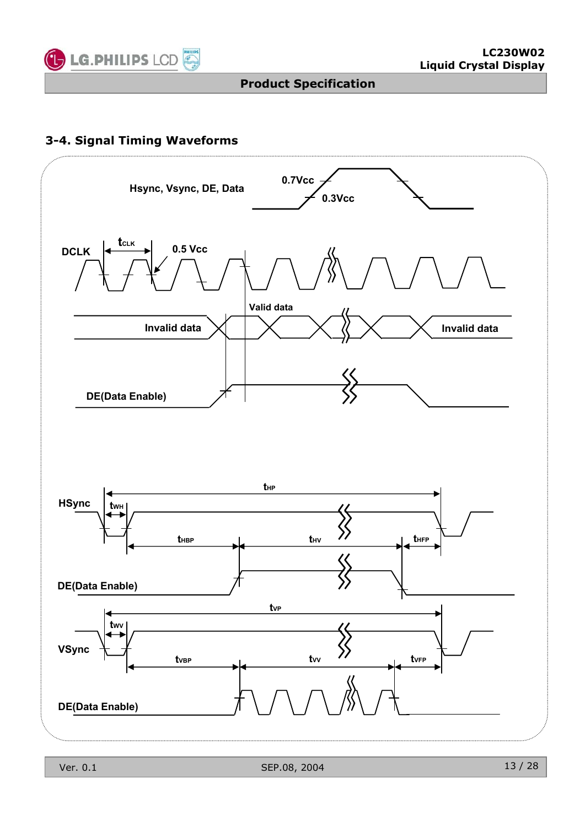

### **3-4. Signal Timing Waveforms**

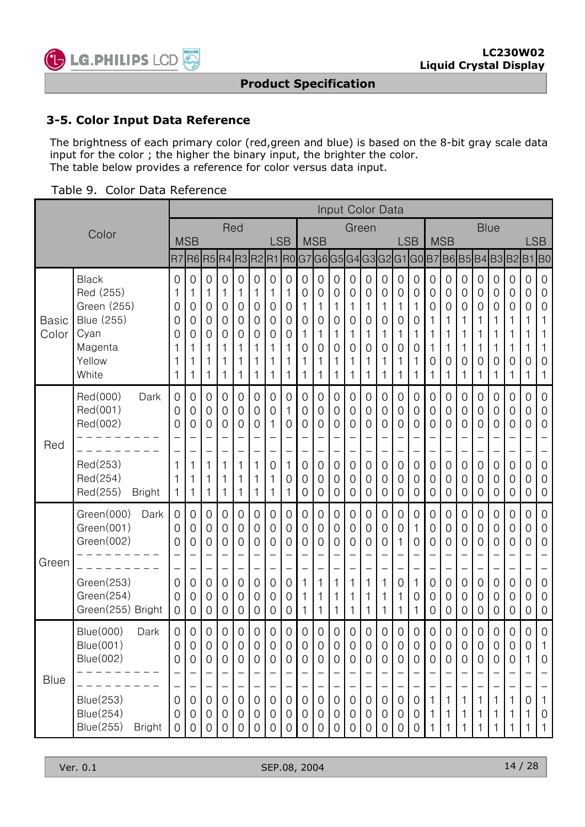![](_page_13_Picture_0.jpeg)

#### **3-5. Color Input Data Reference**

The brightness of each primary color (red,green and blue) is based on the 8-bit gray scale data input for the color ; the higher the binary input, the brighter the color. The table below provides a reference for color versus data input.

| Table 9. Color Data Reference |  |  |  |  |
|-------------------------------|--|--|--|--|
|-------------------------------|--|--|--|--|

|                       |                                                                                                                          | Input Color Data                                               |                                                             |                                                                                      |                                                                                                 |                                                                                           |                                                          |                                                                                 |                                                                                 |                                                                       |                                                                                         |                                                                                                      |                                                          |                                                                                     |                                                                                            |                                                                                                                |                                                     |                                                                        |                                                                                                                |                                                   |                                                                                         |                                                                               |                                                             |                                                                                 |                                                                                               |
|-----------------------|--------------------------------------------------------------------------------------------------------------------------|----------------------------------------------------------------|-------------------------------------------------------------|--------------------------------------------------------------------------------------|-------------------------------------------------------------------------------------------------|-------------------------------------------------------------------------------------------|----------------------------------------------------------|---------------------------------------------------------------------------------|---------------------------------------------------------------------------------|-----------------------------------------------------------------------|-----------------------------------------------------------------------------------------|------------------------------------------------------------------------------------------------------|----------------------------------------------------------|-------------------------------------------------------------------------------------|--------------------------------------------------------------------------------------------|----------------------------------------------------------------------------------------------------------------|-----------------------------------------------------|------------------------------------------------------------------------|----------------------------------------------------------------------------------------------------------------|---------------------------------------------------|-----------------------------------------------------------------------------------------|-------------------------------------------------------------------------------|-------------------------------------------------------------|---------------------------------------------------------------------------------|-----------------------------------------------------------------------------------------------|
|                       | Color                                                                                                                    |                                                                |                                                             |                                                                                      | Red                                                                                             |                                                                                           |                                                          |                                                                                 |                                                                                 |                                                                       |                                                                                         |                                                                                                      | Green                                                    |                                                                                     |                                                                                            |                                                                                                                |                                                     |                                                                        |                                                                                                                |                                                   | <b>Blue</b>                                                                             |                                                                               |                                                             |                                                                                 |                                                                                               |
|                       |                                                                                                                          |                                                                | <b>MSB</b>                                                  |                                                                                      |                                                                                                 |                                                                                           |                                                          | <b>LSB</b>                                                                      |                                                                                 |                                                                       | <b>MSB</b>                                                                              |                                                                                                      |                                                          |                                                                                     |                                                                                            | <b>LSB</b>                                                                                                     |                                                     |                                                                        | <b>MSB</b>                                                                                                     |                                                   |                                                                                         |                                                                               |                                                             | <b>LSB</b>                                                                      |                                                                                               |
|                       |                                                                                                                          |                                                                | R7R6R5                                                      |                                                                                      |                                                                                                 |                                                                                           | R4R3R2R1R0G7G6G5G4G3G2G1G0B7                             |                                                                                 |                                                                                 |                                                                       |                                                                                         |                                                                                                      |                                                          |                                                                                     |                                                                                            |                                                                                                                |                                                     |                                                                        |                                                                                                                |                                                   |                                                                                         |                                                                               | B6B5B4B3B2B1                                                |                                                                                 | <b>BO</b>                                                                                     |
| <b>Basic</b><br>Color | <b>Black</b><br>Red (255)<br>Green (255)<br>Blue (255)<br>Cyan<br>Magenta<br>Yellow<br>White                             | 0<br>1<br>0<br>0<br>0<br>1<br>1                                | 0<br>1<br>0<br>$\mathbf 0$<br>0<br>1<br>1                   | $\overline{0}$<br>1<br>$\boldsymbol{0}$<br>$\mathbf 0$<br>$\mathbf 0$<br>1<br>1<br>1 | $\overline{0}$<br>1<br>$\overline{0}$<br>$\mathbf 0$<br>$\overline{0}$<br>1<br>1<br>1           | $\mathbf 0$<br>1<br>$\mathbf 0$<br>$\mathbf 0$<br>$\mathbf 0$<br>1<br>1<br>1              | $\mathbf 0$<br>1<br>0<br>$\mathbf 0$<br>0<br>1<br>1<br>1 | $\mathbf 0$<br>1<br>0<br>$\mathbf 0$<br>0<br>1<br>1<br>1                        | $\mathbf 0$<br>1<br>$\overline{0}$<br>$\mathbf 0$<br>$\mathbf 0$<br>1<br>1<br>1 | $\mathbf 0$<br>0<br>1<br>$\overline{0}$<br>1<br>$\mathbf 0$<br>1<br>1 | $\overline{0}$<br>0<br>1<br>0<br>1<br>0<br>1<br>1                                       | $\mathbf 0$<br>0<br>1<br>$\overline{0}$<br>1<br>$\mathbf 0$<br>1<br>1                                | 0<br>0<br>1<br>$\mathbf 0$<br>1<br>0<br>1<br>1           | $\mathbf 0$<br>$\mathbf 0$<br>1<br>$\mathbf 0$<br>1<br>$\mathbf 0$<br>1<br>1        | $\mathbf 0$<br>0<br>1<br>$\overline{0}$<br>1<br>0<br>1<br>$\mathbf 1$                      | $\mathbf 0$<br>$\mathbf 0$<br>1<br>$\mathbf 0$<br>$\mathbf 1$<br>0<br>1<br>1                                   | $\mathbf 0$<br>0<br>1<br>0<br>1<br>0<br>1<br>1      | 0<br>0<br>0<br>1<br>1<br>1<br>0<br>1                                   | $\mathbf 0$<br>0<br>0<br>$\mathbf 1$<br>1<br>1<br>0<br>1                                                       | 0<br>0<br>0<br>1<br>1<br>1<br>$\mathbf 0$<br>1    | $\mathbf 0$<br>$\mathbf 0$<br>0<br>1<br>1<br>1<br>0<br>1                                | 0<br>0<br>0<br>1<br>1<br>1<br>0<br>1                                          | 0<br>0<br>0<br>1<br>1<br>1<br>0<br>1                        | 0<br>0<br>0<br>1<br>1<br>1<br>0<br>1                                            | $\overline{0}$<br>$\mathbf 0$<br>$\overline{0}$<br>1<br>1<br>1<br>$\mathbf 0$<br>$\mathbf{1}$ |
| Red                   | Red(000)<br>Dark<br>Red(001)<br>Red(002)<br>Red(253)<br>Red(254)<br>Red(255)<br><b>Bright</b>                            | $\mathbf 0$<br>0<br>0<br>1<br>1<br>1                           | $\overline{0}$<br>0<br>0<br>1<br>1<br>1                     | $\boldsymbol{0}$<br>$\mathbf 0$<br>$\mathbf 0$<br>1<br>1<br>1                        | $\overline{0}$<br>0<br>0<br>1<br>1<br>$\mathbf{1}$                                              | $\overline{0}$<br>$\mathbf 0$<br>$\mathbf 0$<br>1<br>1<br>1                               | $\overline{0}$<br>0<br>0<br>1<br>1<br>1                  | $\overline{0}$<br>0<br>1<br>$\overline{\phantom{0}}$<br>0<br>1<br>1             | 0<br>1<br>0<br>$\overline{\phantom{0}}$<br>1<br>0<br>1                          | $\overline{0}$<br>0<br>0<br>0<br>0<br>0                               | $\mathbf 0$<br>0<br>0<br>$\overline{\phantom{0}}$<br>$\mathbf 0$<br>0<br>$\overline{0}$ | $\overline{0}$<br>0<br>$\mathbf 0$<br>$\overline{\phantom{0}}$<br>$\mathbf 0$<br>0<br>$\overline{0}$ | 0<br>0<br>0<br>0<br>0<br>0                               | $\overline{0}$<br>0<br>0<br>$\qquad \qquad -$<br>$\mathbf 0$<br>0<br>$\overline{0}$ | $\overline{0}$<br>0<br>0<br>$\overline{\phantom{0}}$<br>$\mathbf 0$<br>0<br>$\overline{0}$ | $\overline{0}$<br>$\mathbf 0$<br>$\mathbf 0$<br>$\overline{\phantom{0}}$<br>$\mathbf 0$<br>0<br>$\overline{0}$ | $\overline{0}$<br>0<br>0<br>$\equiv$<br>0<br>0<br>0 | 0<br>$\overline{0}$<br>0<br>$\overline{a}$<br>0<br>0<br>$\overline{0}$ | $\overline{0}$<br>0<br>$\mathbf 0$<br>$\overline{\phantom{0}}$<br>$\mathbf 0$<br>$\mathbf 0$<br>$\overline{0}$ | 0<br>0<br>0<br>0<br>0<br>0                        | $\mathbf 0$<br>0<br>0<br>$\overline{\phantom{0}}$<br>$\mathbf 0$<br>0<br>$\overline{0}$ | $\overline{0}$<br>0<br>$\mathbf 0$<br>$\overline{\phantom{0}}$<br>0<br>0<br>0 | 0<br>0<br>0<br>0<br>0<br>0                                  | $\mathbf 0$<br>$\mathbf 0$<br>0<br>0<br>0<br>$\overline{0}$                     | $\overline{0}$<br>$\mathbf 0$<br>$\mathbf 0$<br>$\mathbf 0$<br>$\mathbf 0$<br>$\overline{0}$  |
| Green                 | Green(000)<br>Dark<br>Green(001)<br>Green(002)<br>Green(253)<br>Green(254)<br>Green(255) Bright                          | $\overline{0}$<br>0<br>0<br>$\overline{0}$<br>0<br>$\mathbf 0$ | $\overline{0}$<br>$\mathbf 0$<br>0<br>0<br>0<br>$\mathbf 0$ | $\mathbf 0$<br>$\mathbf 0$<br>0<br>$\overline{0}$<br>$\mathbf 0$<br>$\boldsymbol{0}$ | $\overline{0}$<br>$\mathbf 0$<br>$\overline{0}$<br>$\overline{0}$<br>$\mathbf 0$<br>$\mathbf 0$ | $\mathbf 0$<br>$\mathbf 0$<br>$\mathbf 0$<br>$\overline{0}$<br>$\mathbf 0$<br>$\mathbf 0$ | 0<br>0<br>0<br>0<br>0<br>$\mathbf 0$                     | $\mathbf 0$<br>$\mathbf 0$<br>0<br>$\overline{0}$<br>$\mathbf 0$<br>$\mathbf 0$ | $\overline{0}$<br>$\mathbf 0$<br>0<br>$\overline{0}$<br>0<br>$\mathbf 0$        | $\overline{0}$<br>$\mathbf 0$<br>0<br>1<br>1<br>1                     | $\mathbf 0$<br>$\mathbf 0$<br>0<br>1<br>1<br>1                                          | $\mathbf 0$<br>$\mathbf 0$<br>$\overline{0}$<br>1<br>1<br>1                                          | $\overline{0}$<br>$\mathbf 0$<br>0<br>1<br>1<br>1        | $\mathbf 0$<br>$\mathbf 0$<br>0<br>1<br>1<br>1                                      | $\mathbf 0$<br>$\mathbf 0$<br>0<br>1<br>1<br>1                                             | $\overline{0}$<br>$\mathbf 0$<br>$\mathbf{1}$<br>0<br>1<br>1                                                   | $\overline{0}$<br>1<br>0<br>1<br>0<br>1             | 0<br>0<br>0<br>$\overline{0}$<br>0<br>$\mathbf 0$                      | $\overline{0}$<br>$\mathbf 0$<br>$\mathbf 0$<br>$\overline{0}$<br>$\mathbf 0$<br>$\mathbf 0$                   | 0<br>0<br>0<br>0<br>0<br>$\mathbf 0$              | $\mathbf 0$<br>$\mathbf 0$<br>0<br>$\mathbf 0$<br>0<br>$\mathbf 0$                      | $\overline{0}$<br>0<br>0<br>$\overline{0}$<br>0<br>$\mathbf 0$                | $\overline{0}$<br>$\mathbf 0$<br>0<br>0<br>0<br>$\mathbf 0$ | $\mathbf 0$<br>$\mathbf 0$<br>0<br>$\overline{0}$<br>$\mathbf 0$<br>$\mathbf 0$ | $\mathbf 0$<br>$\mathbf 0$<br>$\overline{0}$<br>$\mathbf 0$<br>$\mathbf 0$<br>$\mathbf 0$     |
| Blue                  | <b>Blue(000)</b><br>Dark<br><b>Blue(001)</b><br><b>Blue(002)</b><br>Blue(253)<br>Blue(254)<br>Blue(255)<br><b>Bright</b> | $\mathbf 0$<br>0<br>0<br>$\mathbf 0$<br>0<br>0                 | $\mathbf 0$<br>0<br>0<br>$\mathbf 0$<br>0<br>0              | $\mathbf 0$<br>$\mathbf 0$<br>0<br>0<br>0<br>0                                       | $\mathbf 0$<br>$\mathbf 0$<br>0<br>$\mathbf 0$<br>$\mathbf 0$<br>0                              | $\mathbf 0$<br>$\mathbf 0$<br>$\mathbf 0$<br>$\mathbf 0$<br>$\overline{0}$<br>0           | 0<br>$\mathbf 0$<br>0<br>$\mathbf 0$<br>0<br>0           | 0<br>$\mathbf 0$<br>0<br>$\mathbf 0$<br>$\mathbf 0$<br>0                        | 0<br>0<br>0<br>$\overline{\phantom{0}}$<br>$\mathbf 0$<br>0<br>0                | $\overline{0}$<br>0<br>0<br>$\mathbf 0$<br>0<br>0                     | $\mathbf 0$<br>0<br>0<br>$\mathbf 0$<br>0<br>0                                          | $\mathbf 0$<br>$\mathbf 0$<br>0<br>$\overline{0}$<br>$\mathbf 0$<br>$\mathbf 0$                      | $\mathbf 0$<br>$\mathbf 0$<br>0<br>$\mathbf 0$<br>0<br>0 | $\mathbf 0$<br>$\mathbf 0$<br>0<br>0<br>0<br>$\mathbf 0$                            | 0<br>0<br>0<br>$\mathbf 0$<br>$\mathbf 0$<br>0                                             | $\mathbf 0$<br>$\overline{0}$<br>$\mathbf 0$<br>$\mathbf 0$<br>0<br>0                                          | $\mathbf 0$<br>0<br>0<br>0<br>0<br>0                | $\mathbf 0$<br>0<br>$\mathbf 0$<br>$\mathbf{1}$<br>1<br>1              | $\mathbf 0$<br>$\mathbf 0$<br>0<br>1<br>1                                                                      | $\overline{0}$<br>0<br>0<br>$\mathbf 1$<br>1<br>1 | $\mathbf 0$<br>0<br>0<br>1<br>1<br>1                                                    | 0<br>0<br>0<br>1<br>1<br>1                                                    | $\mathbf 0$<br>0<br>0<br>1<br>1<br>1                        | 0<br>$\mathbf 0$<br>1<br>0<br>1<br>1                                            | $\overline{0}$<br>1<br>0<br>$\mathbf{1}$<br>$\mathbf 0$<br>1                                  |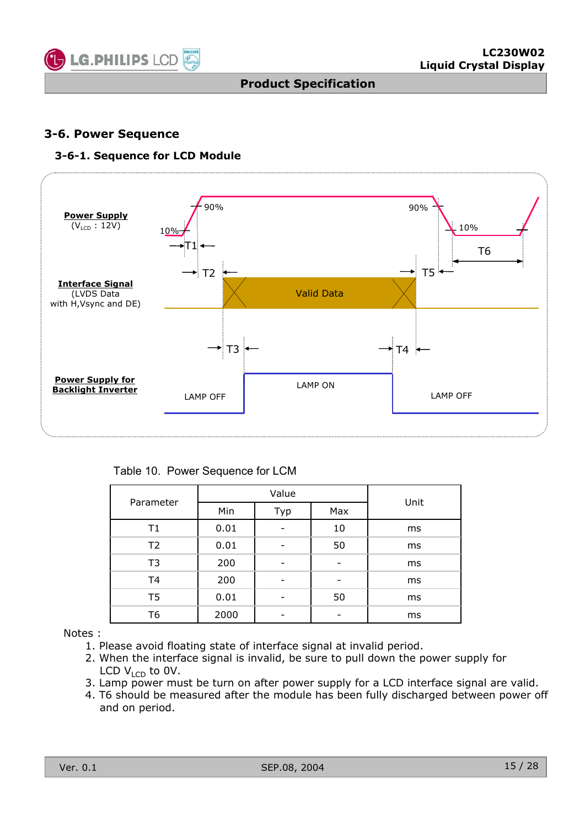![](_page_14_Picture_0.jpeg)

#### **3-6. Power Sequence**

#### **3-6-1. Sequence for LCD Module**

![](_page_14_Figure_5.jpeg)

Table 10. Power Sequence for LCM

| Parameter      |                   | Value                    | Unit |    |  |  |
|----------------|-------------------|--------------------------|------|----|--|--|
|                | Min<br>Max<br>Typ |                          |      |    |  |  |
| T1             | 0.01              |                          | 10   | ms |  |  |
| T <sub>2</sub> | 0.01              |                          | 50   | ms |  |  |
| T <sub>3</sub> | 200               |                          |      | ms |  |  |
| T <sub>4</sub> | 200               | $\overline{\phantom{0}}$ | ۰    | ms |  |  |
| T <sub>5</sub> | 0.01              |                          | 50   | ms |  |  |
| T6             | 2000              |                          |      | ms |  |  |

Notes :

- 1. Please avoid floating state of interface signal at invalid period.
- 2. When the interface signal is invalid, be sure to pull down the power supply for LCD  $V_{\text{LCD}}$  to 0V.
- 3. Lamp power must be turn on after power supply for a LCD interface signal are valid.
- 4. T6 should be measured after the module has been fully discharged between power off and on period.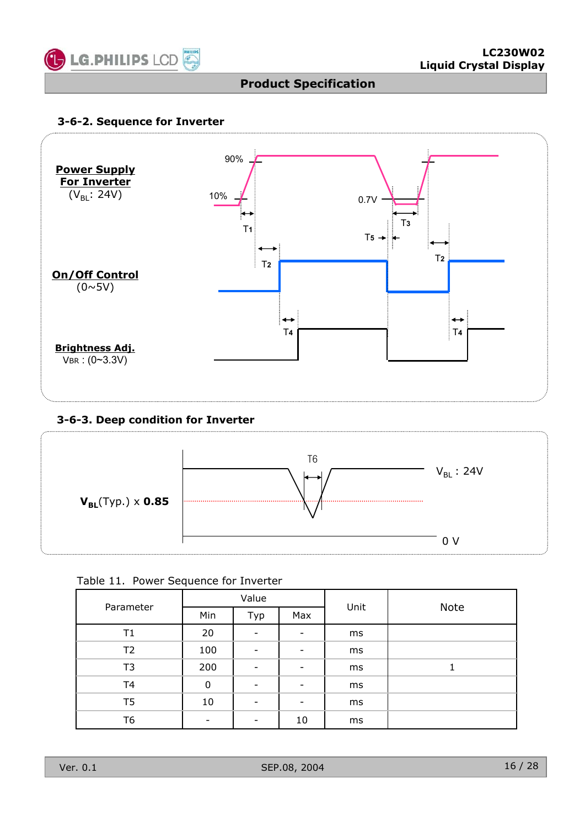![](_page_15_Picture_0.jpeg)

#### **3-6-2. Sequence for Inverter**

![](_page_15_Figure_4.jpeg)

#### **3-6-3. Deep condition for Inverter**

![](_page_15_Figure_6.jpeg)

|  |  | Table 11. Power Sequence for Inverter |  |  |
|--|--|---------------------------------------|--|--|
|--|--|---------------------------------------|--|--|

|                |                          | Value                    |                          | Unit | <b>Note</b> |  |  |  |
|----------------|--------------------------|--------------------------|--------------------------|------|-------------|--|--|--|
| Parameter      | Min                      | Typ                      | Max                      |      |             |  |  |  |
| T1             | 20                       | $\overline{\phantom{0}}$ | $\overline{\phantom{a}}$ | ms   |             |  |  |  |
| T <sub>2</sub> | 100                      | $\qquad \qquad$          | $\overline{\phantom{a}}$ | ms   |             |  |  |  |
| T <sub>3</sub> | 200                      | $\overline{\phantom{a}}$ | $\overline{\phantom{a}}$ | ms   |             |  |  |  |
| T <sub>4</sub> | 0                        | $\qquad \qquad$          | -                        | ms   |             |  |  |  |
| T <sub>5</sub> | 10                       | $\overline{\phantom{0}}$ | $\overline{\phantom{a}}$ | ms   |             |  |  |  |
| T <sub>6</sub> | $\overline{\phantom{a}}$ | -                        | 10                       | ms   |             |  |  |  |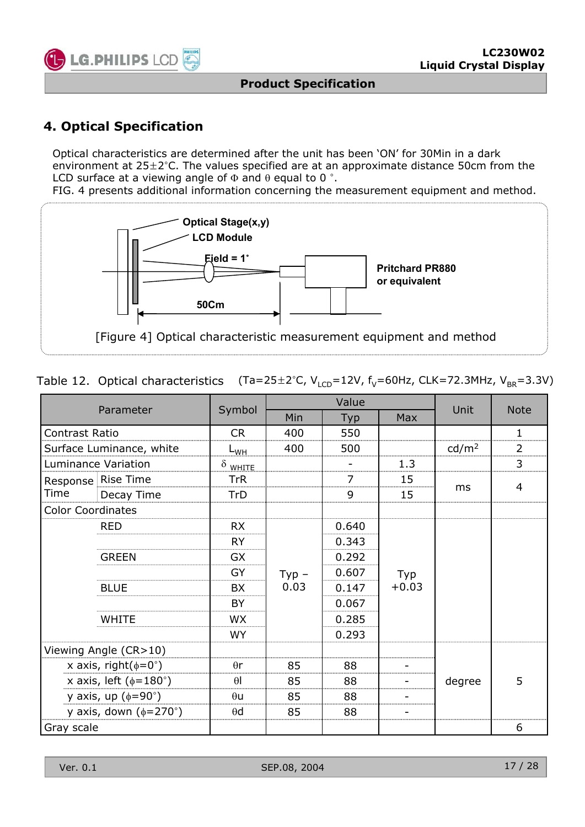![](_page_16_Picture_0.jpeg)

### **4. Optical Specification**

Optical characteristics are determined after the unit has been 'ON' for 30Min in a dark environment at  $25\pm2^{\circ}$ C. The values specified are at an approximate distance 50cm from the LCD surface at a viewing angle of  $\Phi$  and  $\theta$  equal to 0 °.

FIG. 4 presents additional information concerning the measurement equipment and method.

![](_page_16_Figure_6.jpeg)

| Table 12. Optical characteristics (Ta=25 $\pm$ 2°C, V <sub>LCD</sub> =12V, f <sub>V</sub> =60Hz, CLK=72.3MHz, V <sub>BR</sub> =3.3V) |  |  |
|--------------------------------------------------------------------------------------------------------------------------------------|--|--|
|--------------------------------------------------------------------------------------------------------------------------------------|--|--|

|                          |                                     |                 |          | Value |         |                   | <b>Note</b>    |  |
|--------------------------|-------------------------------------|-----------------|----------|-------|---------|-------------------|----------------|--|
|                          | Parameter                           | Symbol          | Min      | Typ   | Max     | Unit              |                |  |
| Contrast Ratio           |                                     | <b>CR</b>       | 400      | 550   |         |                   | $\mathbf{1}$   |  |
| Surface Luminance, white |                                     | ∟ <sub>WH</sub> | 400      | 500   |         | cd/m <sup>2</sup> | $\overline{2}$ |  |
|                          | <b>Luminance Variation</b>          | $\delta$ white  |          |       | 1.3     |                   | 3              |  |
|                          | Response Rise Time                  | TrR             |          |       | 15      |                   | 4              |  |
| Time                     | Decay Time                          | TrD             |          | 9     | 15      | ms                |                |  |
| <b>Color Coordinates</b> |                                     |                 |          |       |         |                   |                |  |
|                          | <b>RED</b>                          | <b>RX</b>       |          | 0.640 |         |                   |                |  |
|                          |                                     | <b>RY</b>       |          | 0.343 |         |                   |                |  |
|                          | <b>GREEN</b>                        |                 |          | 0.292 |         |                   |                |  |
|                          |                                     | GY              | $Type -$ | 0.607 | Typ     |                   |                |  |
|                          | <b>BLUE</b>                         | BX              | 0.03     | 0.147 | $+0.03$ |                   |                |  |
|                          |                                     | <b>BY</b>       |          | 0.067 |         |                   |                |  |
|                          | <b>WHITE</b>                        | <b>WX</b>       |          | 0.285 |         |                   |                |  |
|                          |                                     | <b>WY</b>       |          | 0.293 |         |                   |                |  |
|                          | Viewing Angle (CR>10)               |                 |          |       |         |                   |                |  |
|                          | x axis, right( $\phi = 0^{\circ}$ ) | $\theta$ r      | 85       | 88    |         |                   |                |  |
|                          | x axis, left ( $\phi$ =180°)        | $\theta$        | 85       | 88    |         | degree            | 5              |  |
|                          | y axis, up $(\phi = 90^\circ)$      | $\theta$ u      | 85       | 88    |         |                   |                |  |
|                          | y axis, down $(\phi=270^\circ)$     | $\theta$ d      | 85       | 88    |         |                   |                |  |
| Gray scale               |                                     |                 |          |       |         |                   | 6              |  |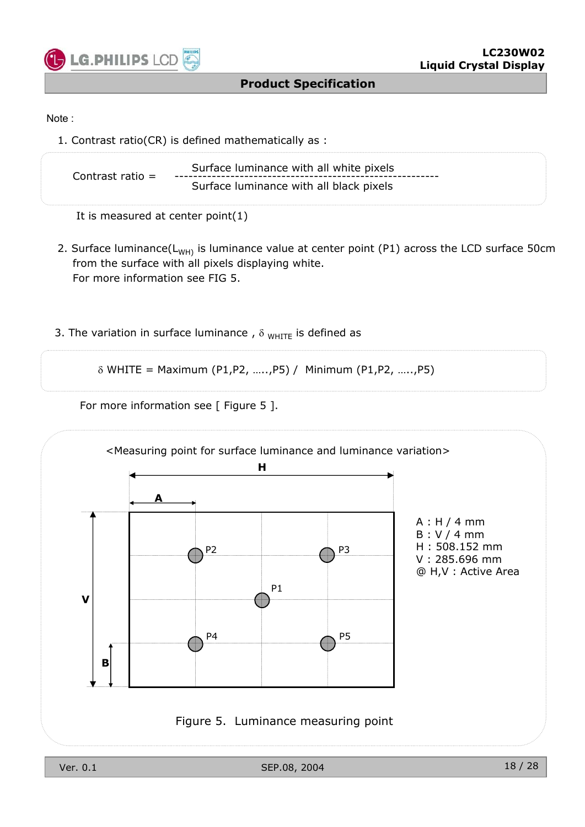![](_page_17_Picture_0.jpeg)

#### Note :

1. Contrast ratio(CR) is defined mathematically as :

| Contrast ratio $=$ | Surface luminance with all white pixels |
|--------------------|-----------------------------------------|
|                    | Surface luminance with all black pixels |

It is measured at center point(1)

- 2. Surface luminance( $L_{WH}$ ) is luminance value at center point (P1) across the LCD surface 50cm from the surface with all pixels displaying white. For more information see FIG 5.
- 3. The variation in surface luminance,  $\delta$  <sub>WHITE</sub> is defined as

 $\delta$  WHITE = Maximum (P1,P2, .....,P5) / Minimum (P1,P2, .....,P5)

For more information see [ Figure 5 ].

![](_page_17_Figure_11.jpeg)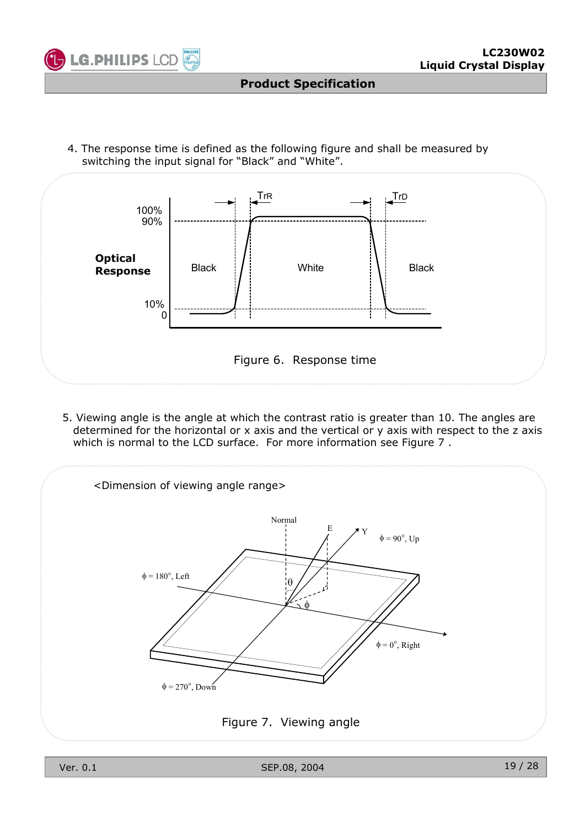![](_page_18_Picture_0.jpeg)

4. The response time is defined as the following figure and shall be measured by switching the input signal for "Black" and "White".

![](_page_18_Figure_4.jpeg)

5. Viewing angle is the angle at which the contrast ratio is greater than 10. The angles are determined for the horizontal or x axis and the vertical or y axis with respect to the z axis which is normal to the LCD surface. For more information see Figure 7.

![](_page_18_Figure_6.jpeg)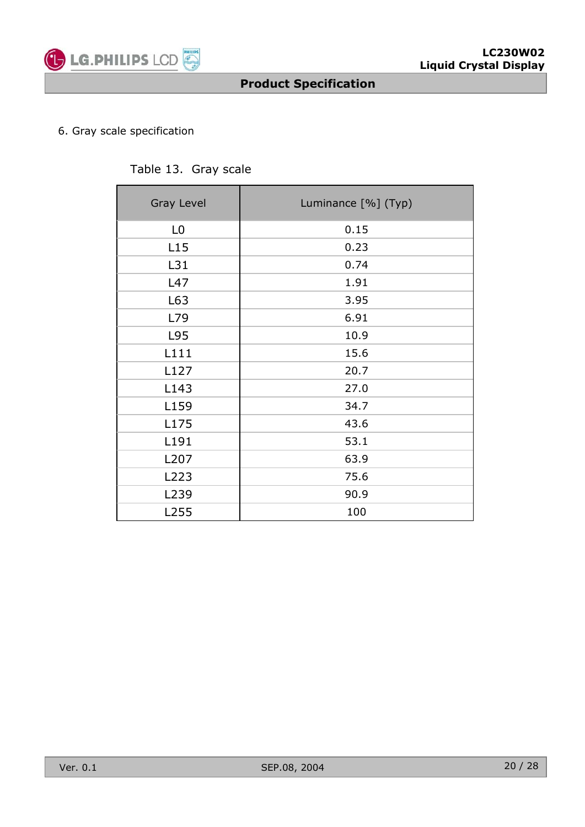![](_page_19_Picture_0.jpeg)

#### 6. Gray scale specification

#### Table 13. Gray scale

| <b>Gray Level</b> | Luminance [%] (Typ) |
|-------------------|---------------------|
| L <sub>0</sub>    | 0.15                |
| L15               | 0.23                |
| L31               | 0.74                |
| L47               | 1.91                |
| L63               | 3.95                |
| L79               | 6.91                |
| L95               | 10.9                |
| L111              | 15.6                |
| L127              | 20.7                |
| L143              | 27.0                |
| L159              | 34.7                |
| L175              | 43.6                |
| L191              | 53.1                |
| L207              | 63.9                |
| L223              | 75.6                |
| L239              | 90.9                |
| L255              | 100                 |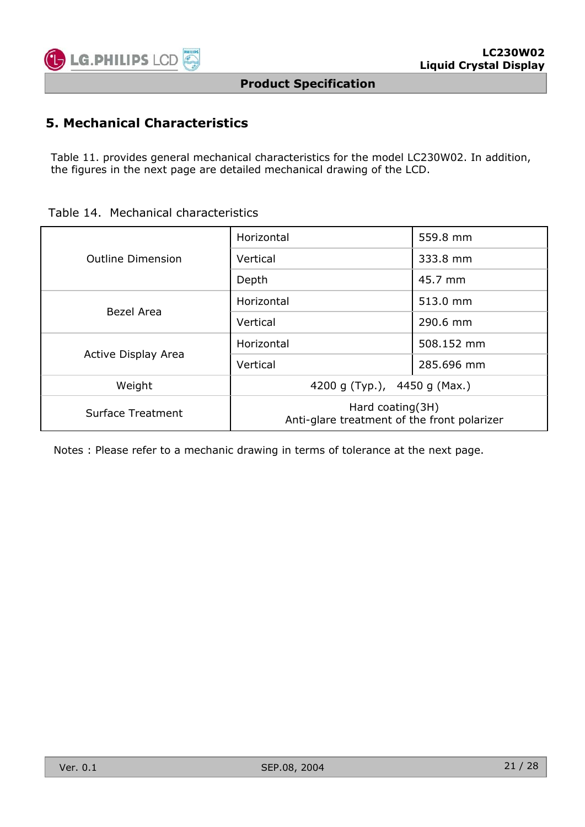![](_page_20_Picture_0.jpeg)

### **5. Mechanical Characteristics**

Table 11. provides general mechanical characteristics for the model LC230W02. In addition, the figures in the next page are detailed mechanical drawing of the LCD.

|  | Table 14. Mechanical characteristics |
|--|--------------------------------------|
|  |                                      |

|                          | Horizontal                                                      | 559.8 mm   |  |  |
|--------------------------|-----------------------------------------------------------------|------------|--|--|
| <b>Outline Dimension</b> | Vertical                                                        | 333.8 mm   |  |  |
|                          | Depth                                                           | 45.7 mm    |  |  |
| Bezel Area               | Horizontal                                                      | 513.0 mm   |  |  |
|                          | Vertical                                                        | 290.6 mm   |  |  |
|                          | Horizontal                                                      | 508.152 mm |  |  |
| Active Display Area      | Vertical                                                        | 285.696 mm |  |  |
| Weight                   | 4200 g (Typ.), 4450 g (Max.)                                    |            |  |  |
| Surface Treatment        | Hard coating(3H)<br>Anti-glare treatment of the front polarizer |            |  |  |

Notes : Please refer to a mechanic drawing in terms of tolerance at the next page.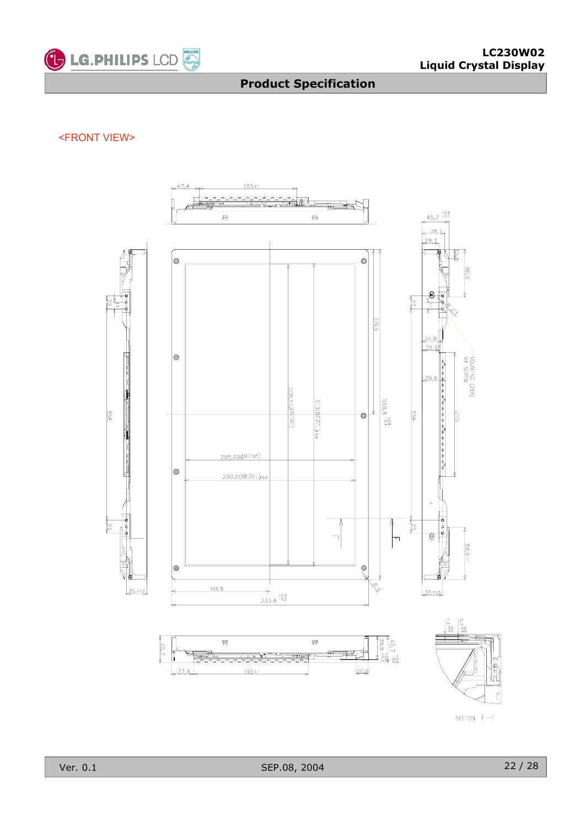![](_page_21_Picture_0.jpeg)

#### <FRONT VIEW>

![](_page_21_Figure_4.jpeg)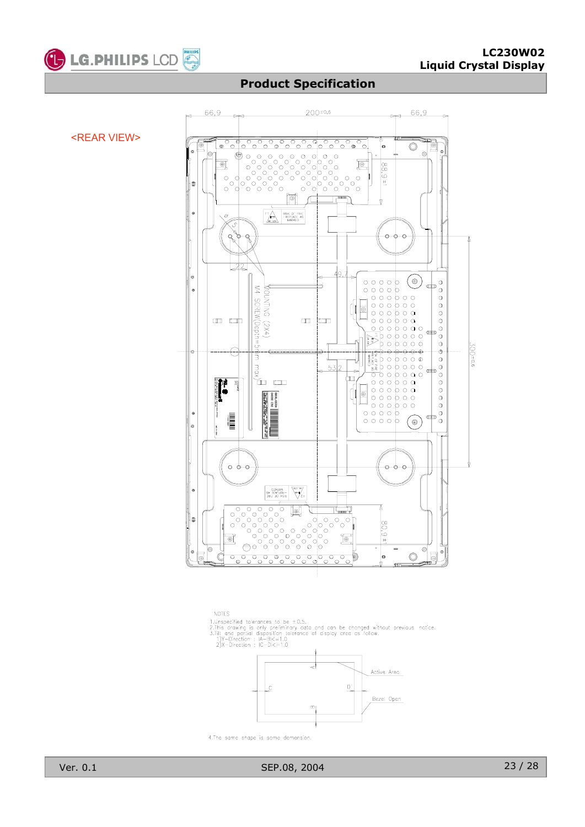![](_page_22_Picture_0.jpeg)

![](_page_22_Figure_3.jpeg)

**NOTES** 1.Unspecified tolerances to be ±0.5.<br>2.This drawing is only preliminary data and can be changed without previous notice.<br>3.Tilt and partial disposition tolerance of display area as follow.<br>1)Y-Direction : IA-BI<=1.0<br>2)X-Di Active Area  $\overline{0}$ Bezel Open  $\infty$ 

![](_page_22_Figure_5.jpeg)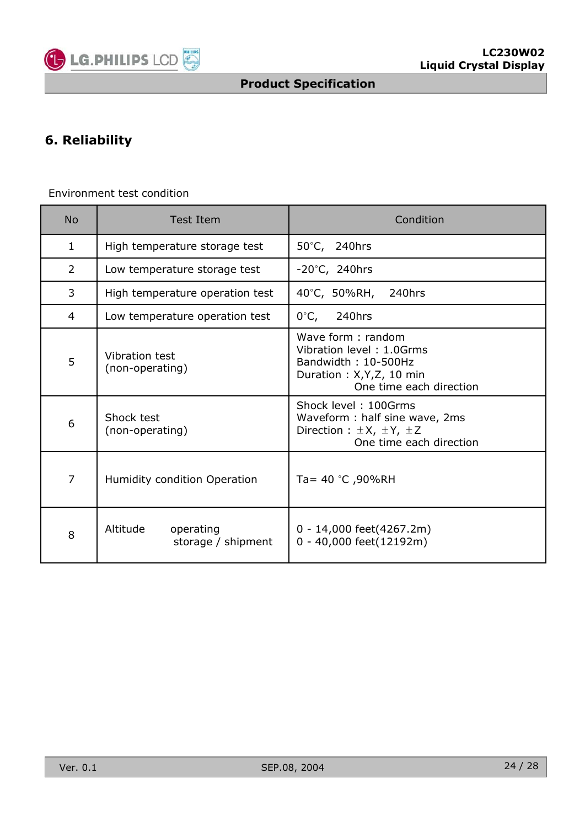![](_page_23_Picture_0.jpeg)

# **6. Reliability**

### Environment test condition

| <b>No</b>    | <b>Test Item</b>                            | Condition                                                                                                                    |  |  |
|--------------|---------------------------------------------|------------------------------------------------------------------------------------------------------------------------------|--|--|
| $\mathbf{1}$ | High temperature storage test               | 50°C, 240hrs                                                                                                                 |  |  |
| 2            | Low temperature storage test                | $-20^{\circ}$ C, 240hrs                                                                                                      |  |  |
| 3            | High temperature operation test             | 40°C, 50%RH,<br>240hrs                                                                                                       |  |  |
| 4            | Low temperature operation test              | 0°C,<br>240hrs                                                                                                               |  |  |
| 5            | Vibration test<br>(non-operating)           | Wave form: random<br>Vibration level: 1.0Grms<br>Bandwidth: 10-500Hz<br>Duration: X, Y, Z, 10 min<br>One time each direction |  |  |
| 6            | Shock test<br>(non-operating)               | Shock level: 100Grms<br>Waveform: half sine wave, 2ms<br>Direction : $\pm X$ , $\pm Y$ , $\pm Z$<br>One time each direction  |  |  |
| 7            | Humidity condition Operation                | Ta= 40 °C ,90%RH                                                                                                             |  |  |
| 8            | Altitude<br>operating<br>storage / shipment | 0 - 14,000 feet(4267.2m)<br>0 - 40,000 feet(12192m)                                                                          |  |  |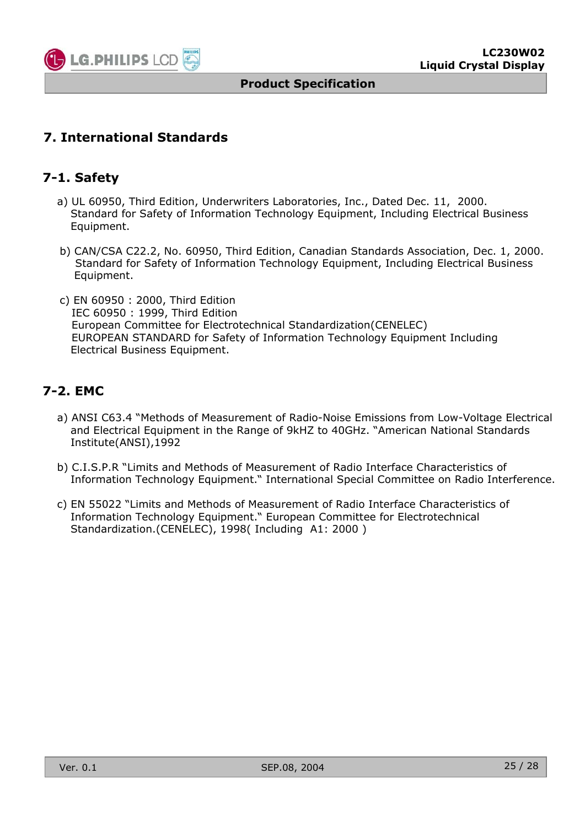![](_page_24_Picture_0.jpeg)

### **7. International Standards**

### **7-1. Safety**

- a) UL 60950, Third Edition, Underwriters Laboratories, Inc., Dated Dec. 11, 2000. Standard for Safety of Information Technology Equipment, Including Electrical Business Equipment.
- b) CAN/CSA C22.2, No. 60950, Third Edition, Canadian Standards Association, Dec. 1, 2000. Standard for Safety of Information Technology Equipment, Including Electrical Business Equipment.
- c) EN 60950 : 2000, Third Edition IEC 60950 : 1999, Third Edition European Committee for Electrotechnical Standardization(CENELEC) EUROPEAN STANDARD for Safety of Information Technology Equipment Including Electrical Business Equipment.

### **7-2. EMC**

- a) ANSI C63.4 "Methods of Measurement of Radio-Noise Emissions from Low-Voltage Electrical and Electrical Equipment in the Range of 9kHZ to 40GHz. "American National Standards Institute(ANSI),1992
- b) C.I.S.P.R "Limits and Methods of Measurement of Radio Interface Characteristics of Information Technology Equipment." International Special Committee on Radio Interference.
- c) EN 55022 "Limits and Methods of Measurement of Radio Interface Characteristics of Information Technology Equipment." European Committee for Electrotechnical Standardization.(CENELEC), 1998( Including A1: 2000 )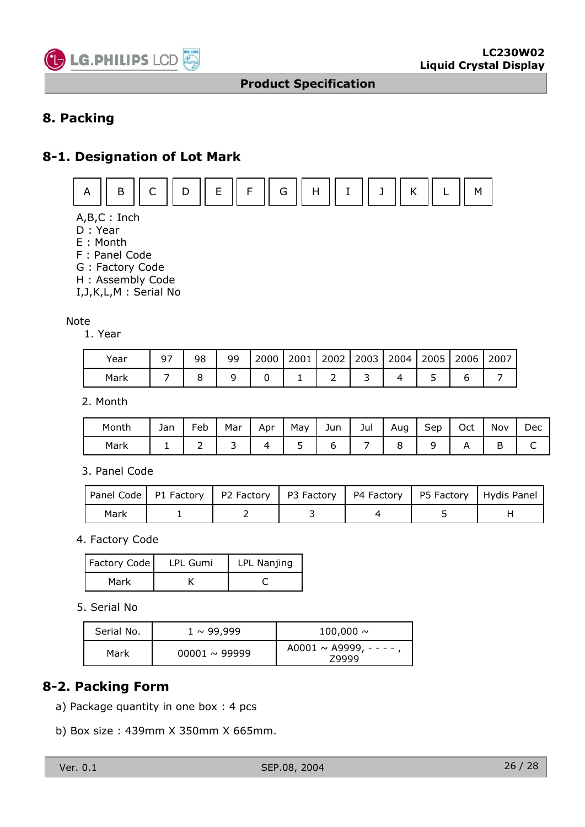![](_page_25_Picture_0.jpeg)

### **8. Packing**

### **8-1. Designation of Lot Mark**

![](_page_25_Figure_5.jpeg)

A,B,C : Inch

- D : Year
- E : Month
- F : Panel Code
- G : Factory Code
- H : Assembly Code

I,J,K,L,M : Serial No

#### Note

1. Year

| Year | 97 | 98 | ٩q<br><u>.</u> | 2000 | 2001 | 2002 | 2003 | 2004 | 2005 | 2006 | 2007 |
|------|----|----|----------------|------|------|------|------|------|------|------|------|
| Mark |    |    |                |      |      |      |      |      |      |      |      |

2. Month

| Monti. | Jan | -<br>⊦eb | Mar | Apr | May                   | Jun | Jul | Aug | ∽<br>Sep | Oct | Nov | Dec |
|--------|-----|----------|-----|-----|-----------------------|-----|-----|-----|----------|-----|-----|-----|
| Mark   | -   | -        | ້   |     | $\tilde{\phantom{a}}$ |     |     | ∼   |          |     | ້   | ◡   |

#### 3. Panel Code

|      |  |  | Panel Code   P1 Factory   P2 Factory   P3 Factory   P4 Factory   P5 Factory   Hydis Panel |
|------|--|--|-------------------------------------------------------------------------------------------|
| Mark |  |  |                                                                                           |

4. Factory Code

| Factory Code | LPL Gumi | LPL Nanjing |
|--------------|----------|-------------|
| Mark         |          |             |

5. Serial No

| Serial No. | $1 \sim 99,999$    | $100,000 \sim$                       |
|------------|--------------------|--------------------------------------|
| Mark       | $00001 \sim 99999$ | A0001 $\sim$ A9999, - - - -<br>79999 |

### **8-2. Packing Form**

- a) Package quantity in one box : 4 pcs
- b) Box size : 439mm X 350mm X 665mm.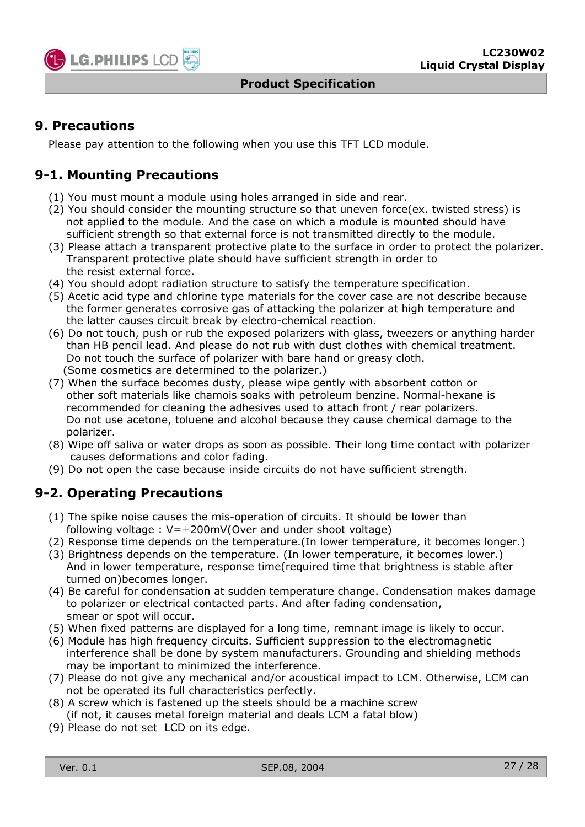![](_page_26_Picture_0.jpeg)

### **9. Precautions**

Please pay attention to the following when you use this TFT LCD module.

### **9-1. Mounting Precautions**

- (1) You must mount a module using holes arranged in side and rear.
- (2) You should consider the mounting structure so that uneven force(ex. twisted stress) is not applied to the module. And the case on which a module is mounted should have sufficient strength so that external force is not transmitted directly to the module.
- (3) Please attach a transparent protective plate to the surface in order to protect the polarizer. Transparent protective plate should have sufficient strength in order to the resist external force.
- (4) You should adopt radiation structure to satisfy the temperature specification.
- (5) Acetic acid type and chlorine type materials for the cover case are not describe because the former generates corrosive gas of attacking the polarizer at high temperature and the latter causes circuit break by electro-chemical reaction.
- (6) Do not touch, push or rub the exposed polarizers with glass, tweezers or anything harder than HB pencil lead. And please do not rub with dust clothes with chemical treatment. Do not touch the surface of polarizer with bare hand or greasy cloth. (Some cosmetics are determined to the polarizer.)
- (7) When the surface becomes dusty, please wipe gently with absorbent cotton or other soft materials like chamois soaks with petroleum benzine. Normal-hexane is recommended for cleaning the adhesives used to attach front / rear polarizers. Do not use acetone, toluene and alcohol because they cause chemical damage to the polarizer.
- (8) Wipe off saliva or water drops as soon as possible. Their long time contact with polarizer causes deformations and color fading.
- (9) Do not open the case because inside circuits do not have sufficient strength.

### **9-2. Operating Precautions**

- (1) The spike noise causes the mis-operation of circuits. It should be lower than following voltage :  $V=\pm 200$ mV(Over and under shoot voltage)
- (2) Response time depends on the temperature.(In lower temperature, it becomes longer.)
- (3) Brightness depends on the temperature. (In lower temperature, it becomes lower.) And in lower temperature, response time(required time that brightness is stable after turned on)becomes longer.
- (4) Be careful for condensation at sudden temperature change. Condensation makes damage to polarizer or electrical contacted parts. And after fading condensation, smear or spot will occur.
- (5) When fixed patterns are displayed for a long time, remnant image is likely to occur.
- (6) Module has high frequency circuits. Sufficient suppression to the electromagnetic interference shall be done by system manufacturers. Grounding and shielding methods may be important to minimized the interference.
- (7) Please do not give any mechanical and/or acoustical impact to LCM. Otherwise, LCM can not be operated its full characteristics perfectly.
- (8) A screw which is fastened up the steels should be a machine screw (if not, it causes metal foreign material and deals LCM a fatal blow)
- (9) Please do not set LCD on its edge.